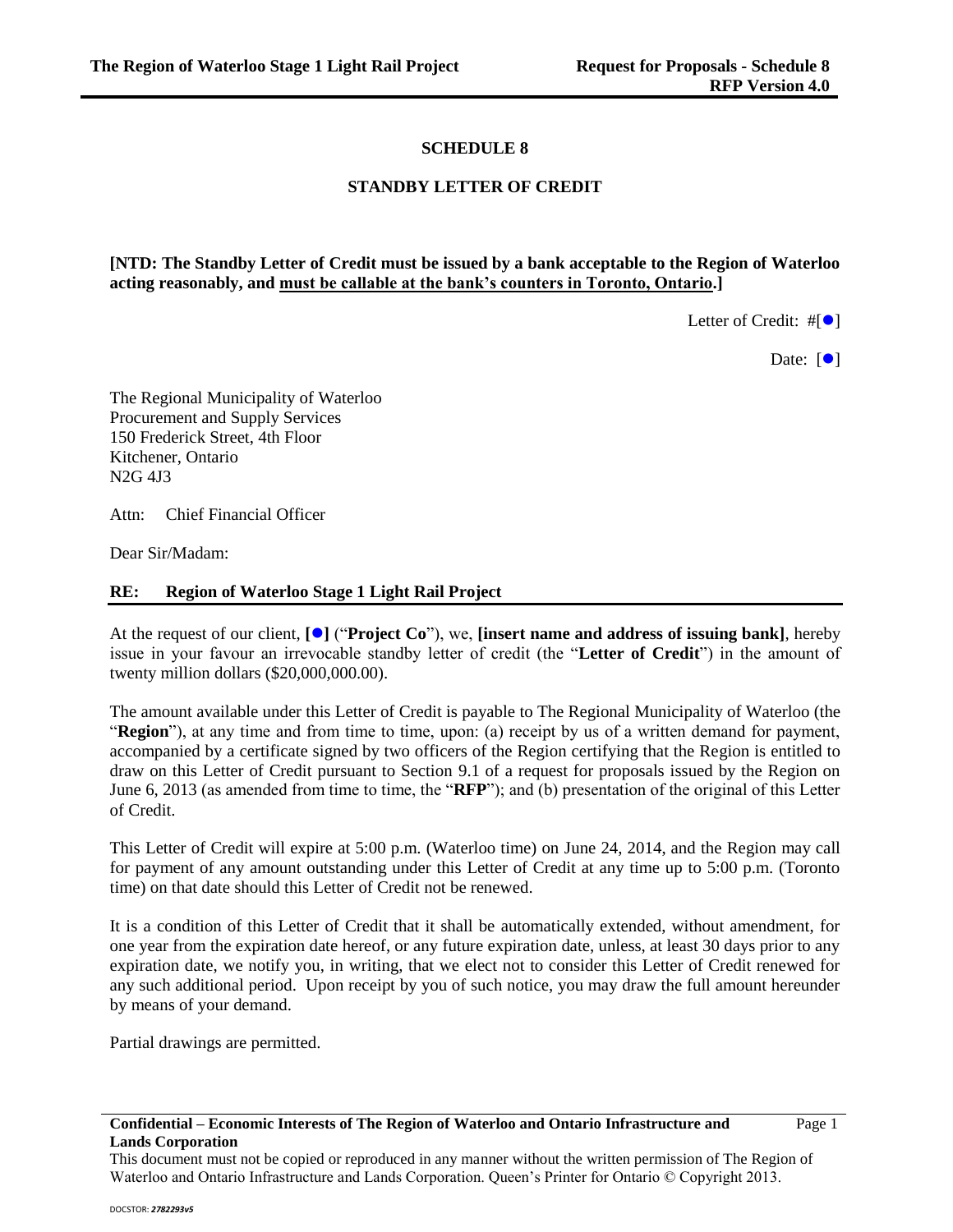## **SCHEDULE 8**

## **STANDBY LETTER OF CREDIT**

**[NTD: The Standby Letter of Credit must be issued by a bank acceptable to the Region of Waterloo acting reasonably, and must be callable at the bank's counters in Toronto, Ontario.]**

Letter of Credit:  $\#\lceil\bullet\rceil$ 

Date:  $[$   $\bullet$   $]$ 

The Regional Municipality of Waterloo Procurement and Supply Services 150 Frederick Street, 4th Floor Kitchener, Ontario N2G 4J3

Attn: Chief Financial Officer

Dear Sir/Madam:

## **RE: Region of Waterloo Stage 1 Light Rail Project**

At the request of our client, **[]** ("**Project Co**"), we, **[insert name and address of issuing bank]**, hereby issue in your favour an irrevocable standby letter of credit (the "**Letter of Credit**") in the amount of twenty million dollars (\$20,000,000.00).

The amount available under this Letter of Credit is payable to The Regional Municipality of Waterloo (the "**Region**"), at any time and from time to time, upon: (a) receipt by us of a written demand for payment, accompanied by a certificate signed by two officers of the Region certifying that the Region is entitled to draw on this Letter of Credit pursuant to Section 9.1 of a request for proposals issued by the Region on June 6, 2013 (as amended from time to time, the "**RFP**"); and (b) presentation of the original of this Letter of Credit.

This Letter of Credit will expire at 5:00 p.m. (Waterloo time) on June 24, 2014, and the Region may call for payment of any amount outstanding under this Letter of Credit at any time up to 5:00 p.m. (Toronto time) on that date should this Letter of Credit not be renewed.

It is a condition of this Letter of Credit that it shall be automatically extended, without amendment, for one year from the expiration date hereof, or any future expiration date, unless, at least 30 days prior to any expiration date, we notify you, in writing, that we elect not to consider this Letter of Credit renewed for any such additional period. Upon receipt by you of such notice, you may draw the full amount hereunder by means of your demand.

Partial drawings are permitted.

This document must not be copied or reproduced in any manner without the written permission of The Region of Waterloo and Ontario Infrastructure and Lands Corporation. Queen's Printer for Ontario © Copyright 2013.